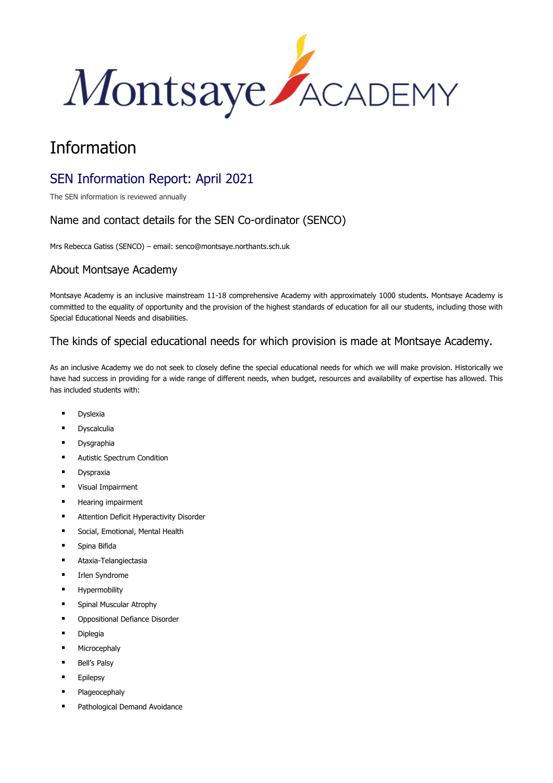

# Information

## SEN Information Report: April 2021

The SEN information is reviewed annually

## Name and contact details for the SEN Co-ordinator (SENCO)

Mrs Rebecca Gatiss (SENCO) – email: senco@montsaye.northants.sch.uk

#### About Montsaye Academy

Montsaye Academy is an inclusive mainstream 11-18 comprehensive Academy with approximately 1000 students. Montsaye Academy is committed to the equality of opportunity and the provision of the highest standards of education for all our students, including those with Special Educational Needs and disabilities.

#### The kinds of special educational needs for which provision is made at Montsaye Academy.

As an inclusive Academy we do not seek to closely define the special educational needs for which we will make provision. Historically we have had success in providing for a wide range of different needs, when budget, resources and availability of expertise has allowed. This has included students with:

- **Dyslexia**
- **Dyscalculia**
- **Dysgraphia**
- **Autistic Spectrum Condition**
- **Dyspraxia**
- Visual Impairment
- Hearing impairment
- **■** Attention Deficit Hyperactivity Disorder
- Social, Emotional, Mental Health
- Spina Bifida
- Ataxia-Telangiectasia
- Irlen Syndrome
- Hypermobility
- Spinal Muscular Atrophy
- Oppositional Defiance Disorder
- Diplegia
- Microcephaly
- **Bell's Palsy**
- **Epilepsy**
- Plageocephaly
- Pathological Demand Avoidance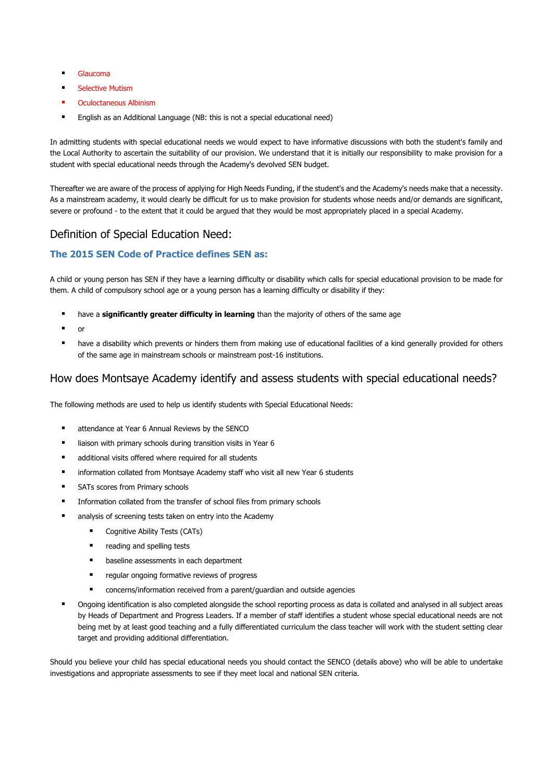- Glaucoma
- **Selective Mutism**
- **Oculoctaneous Albinism**
- English as an Additional Language (NB: this is not a special educational need)

In admitting students with special educational needs we would expect to have informative discussions with both the student's family and the Local Authority to ascertain the suitability of our provision. We understand that it is initially our responsibility to make provision for a student with special educational needs through the Academy's devolved SEN budget.

Thereafter we are aware of the process of applying for High Needs Funding, if the student's and the Academy's needs make that a necessity. As a mainstream academy, it would clearly be difficult for us to make provision for students whose needs and/or demands are significant, severe or profound - to the extent that it could be argued that they would be most appropriately placed in a special Academy.

#### Definition of Special Education Need:

#### **The 2015 SEN Code of Practice defines SEN as:**

A child or young person has SEN if they have a learning difficulty or disability which calls for special educational provision to be made for them. A child of compulsory school age or a young person has a learning difficulty or disability if they:

- have a **significantly greater difficulty in learning** than the majority of others of the same age
- or
- have a disability which prevents or hinders them from making use of educational facilities of a kind generally provided for others of the same age in mainstream schools or mainstream post-16 institutions.

#### How does Montsaye Academy identify and assess students with special educational needs?

The following methods are used to help us identify students with Special Educational Needs:

- attendance at Year 6 Annual Reviews by the SENCO
- liaison with primary schools during transition visits in Year 6
- additional visits offered where required for all students
- information collated from Montsaye Academy staff who visit all new Year 6 students
- SATs scores from Primary schools
- Information collated from the transfer of school files from primary schools
- analysis of screening tests taken on entry into the Academy
	- Cognitive Ability Tests (CATs)
	- reading and spelling tests
	- **■** baseline assessments in each department
	- regular ongoing formative reviews of progress
	- concerns/information received from a parent/guardian and outside agencies
- Ongoing identification is also completed alongside the school reporting process as data is collated and analysed in all subject areas by Heads of Department and Progress Leaders. If a member of staff identifies a student whose special educational needs are not being met by at least good teaching and a fully differentiated curriculum the class teacher will work with the student setting clear target and providing additional differentiation.

Should you believe your child has special educational needs you should contact the SENCO (details above) who will be able to undertake investigations and appropriate assessments to see if they meet local and national SEN criteria.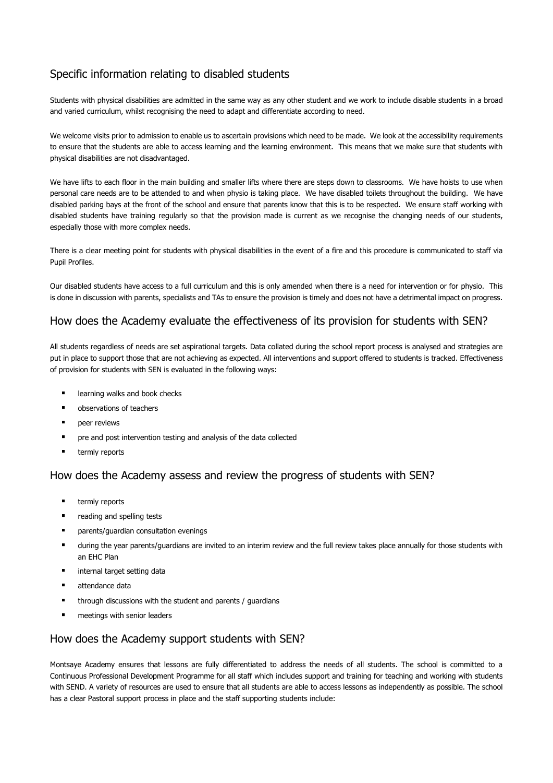## Specific information relating to disabled students

Students with physical disabilities are admitted in the same way as any other student and we work to include disable students in a broad and varied curriculum, whilst recognising the need to adapt and differentiate according to need.

We welcome visits prior to admission to enable us to ascertain provisions which need to be made. We look at the accessibility requirements to ensure that the students are able to access learning and the learning environment. This means that we make sure that students with physical disabilities are not disadvantaged.

We have lifts to each floor in the main building and smaller lifts where there are steps down to classrooms. We have hoists to use when personal care needs are to be attended to and when physio is taking place. We have disabled toilets throughout the building. We have disabled parking bays at the front of the school and ensure that parents know that this is to be respected. We ensure staff working with disabled students have training regularly so that the provision made is current as we recognise the changing needs of our students, especially those with more complex needs.

There is a clear meeting point for students with physical disabilities in the event of a fire and this procedure is communicated to staff via Pupil Profiles.

Our disabled students have access to a full curriculum and this is only amended when there is a need for intervention or for physio. This is done in discussion with parents, specialists and TAs to ensure the provision is timely and does not have a detrimental impact on progress.

#### How does the Academy evaluate the effectiveness of its provision for students with SEN?

All students regardless of needs are set aspirational targets. Data collated during the school report process is analysed and strategies are put in place to support those that are not achieving as expected. All interventions and support offered to students is tracked. Effectiveness of provision for students with SEN is evaluated in the following ways:

- learning walks and book checks
- observations of teachers
- neer reviews
- pre and post intervention testing and analysis of the data collected
- termly reports

#### How does the Academy assess and review the progress of students with SEN?

- termly reports
- reading and spelling tests
- parents/guardian consultation evenings
- during the year parents/guardians are invited to an interim review and the full review takes place annually for those students with an EHC Plan
- internal target setting data
- attendance data
- through discussions with the student and parents / guardians
- meetings with senior leaders

#### How does the Academy support students with SEN?

Montsaye Academy ensures that lessons are fully differentiated to address the needs of all students. The school is committed to a Continuous Professional Development Programme for all staff which includes support and training for teaching and working with students with SEND. A variety of resources are used to ensure that all students are able to access lessons as independently as possible. The school has a clear Pastoral support process in place and the staff supporting students include: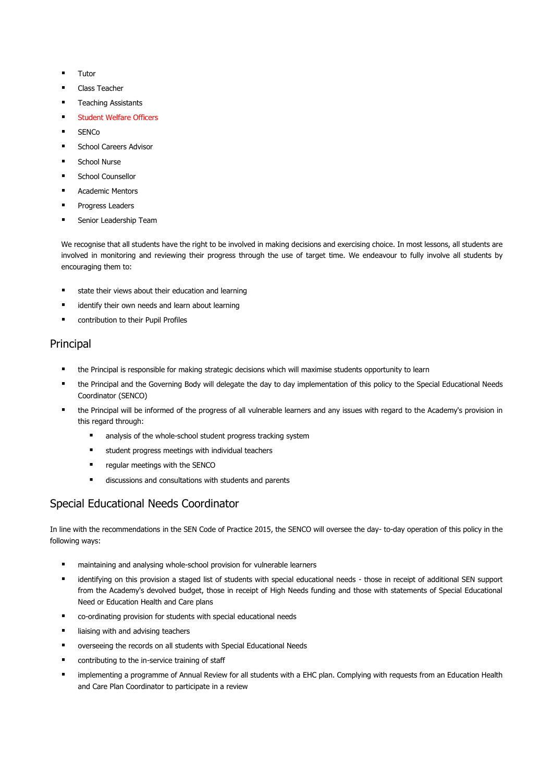- **Tutor**
- Class Teacher
- **Teaching Assistants**
- **Student Welfare Officers**
- $SENCo$
- School Careers Advisor
- School Nurse
- School Counsellor
- **Academic Mentors**
- Progress Leaders
- Senior Leadership Team

We recognise that all students have the right to be involved in making decisions and exercising choice. In most lessons, all students are involved in monitoring and reviewing their progress through the use of target time. We endeavour to fully involve all students by encouraging them to:

- state their views about their education and learning
- identify their own needs and learn about learning
- contribution to their Pupil Profiles

#### Principal

- the Principal is responsible for making strategic decisions which will maximise students opportunity to learn
- the Principal and the Governing Body will delegate the day to day implementation of this policy to the Special Educational Needs Coordinator (SENCO)
- the Principal will be informed of the progress of all vulnerable learners and any issues with regard to the Academy's provision in this regard through:
	- analysis of the whole-school student progress tracking system
	- student progress meetings with individual teachers
	- regular meetings with the SENCO
	- discussions and consultations with students and parents

## Special Educational Needs Coordinator

In line with the recommendations in the SEN Code of Practice 2015, the SENCO will oversee the day- to-day operation of this policy in the following ways:

- maintaining and analysing whole-school provision for vulnerable learners
- identifying on this provision a staged list of students with special educational needs those in receipt of additional SEN support from the Academy's devolved budget, those in receipt of High Needs funding and those with statements of Special Educational Need or Education Health and Care plans
- co-ordinating provision for students with special educational needs
- liaising with and advising teachers
- overseeing the records on all students with Special Educational Needs
- contributing to the in-service training of staff
- "implementing a programme of Annual Review for all students with a EHC plan. Complying with requests from an Education Health and Care Plan Coordinator to participate in a review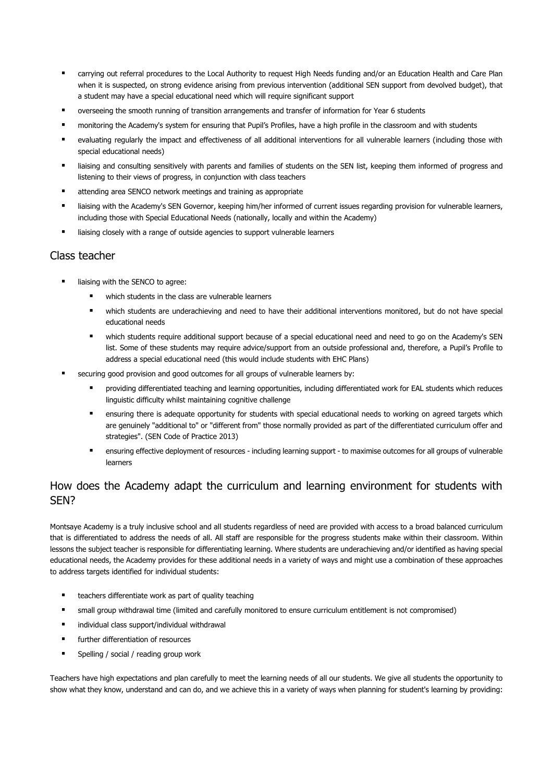- carrying out referral procedures to the Local Authority to request High Needs funding and/or an Education Health and Care Plan when it is suspected, on strong evidence arising from previous intervention (additional SEN support from devolved budget), that a student may have a special educational need which will require significant support
- overseeing the smooth running of transition arrangements and transfer of information for Year 6 students
- monitoring the Academy's system for ensuring that Pupil's Profiles, have a high profile in the classroom and with students
- evaluating regularly the impact and effectiveness of all additional interventions for all vulnerable learners (including those with special educational needs)
- liaising and consulting sensitively with parents and families of students on the SEN list, keeping them informed of progress and listening to their views of progress, in conjunction with class teachers
- attending area SENCO network meetings and training as appropriate
- liaising with the Academy's SEN Governor, keeping him/her informed of current issues regarding provision for vulnerable learners, including those with Special Educational Needs (nationally, locally and within the Academy)
- liaising closely with a range of outside agencies to support vulnerable learners

#### Class teacher

- liaising with the SENCO to agree:
	- which students in the class are vulnerable learners
	- which students are underachieving and need to have their additional interventions monitored, but do not have special educational needs
	- which students require additional support because of a special educational need and need to go on the Academy's SEN list. Some of these students may require advice/support from an outside professional and, therefore, a Pupil's Profile to address a special educational need (this would include students with EHC Plans)
- securing good provision and good outcomes for all groups of vulnerable learners by:
	- providing differentiated teaching and learning opportunities, including differentiated work for EAL students which reduces linguistic difficulty whilst maintaining cognitive challenge
	- ensuring there is adequate opportunity for students with special educational needs to working on agreed targets which are genuinely "additional to" or "different from" those normally provided as part of the differentiated curriculum offer and strategies". (SEN Code of Practice 2013)
	- ensuring effective deployment of resources including learning support to maximise outcomes for all groups of vulnerable learners

#### How does the Academy adapt the curriculum and learning environment for students with SEN?

Montsaye Academy is a truly inclusive school and all students regardless of need are provided with access to a broad balanced curriculum that is differentiated to address the needs of all. All staff are responsible for the progress students make within their classroom. Within lessons the subject teacher is responsible for differentiating learning. Where students are underachieving and/or identified as having special educational needs, the Academy provides for these additional needs in a variety of ways and might use a combination of these approaches to address targets identified for individual students:

- teachers differentiate work as part of quality teaching
- small group withdrawal time (limited and carefully monitored to ensure curriculum entitlement is not compromised)
- individual class support/individual withdrawal
- **■** further differentiation of resources
- Spelling / social / reading group work

Teachers have high expectations and plan carefully to meet the learning needs of all our students. We give all students the opportunity to show what they know, understand and can do, and we achieve this in a variety of ways when planning for student's learning by providing: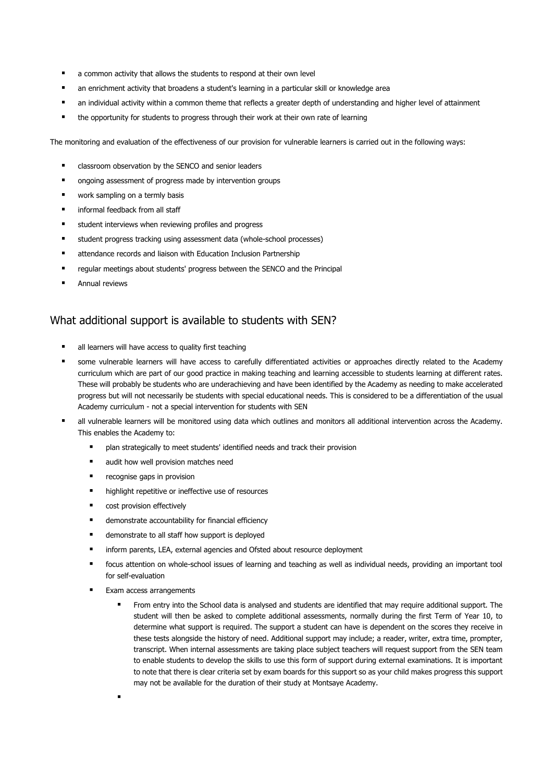- a common activity that allows the students to respond at their own level
- an enrichment activity that broadens a student's learning in a particular skill or knowledge area
- an individual activity within a common theme that reflects a greater depth of understanding and higher level of attainment
- the opportunity for students to progress through their work at their own rate of learning

The monitoring and evaluation of the effectiveness of our provision for vulnerable learners is carried out in the following ways:

- classroom observation by the SENCO and senior leaders
- ongoing assessment of progress made by intervention groups
- work sampling on a termly basis
- informal feedback from all staff
- student interviews when reviewing profiles and progress
- student progress tracking using assessment data (whole-school processes)
- attendance records and liaison with Education Inclusion Partnership
- regular meetings about students' progress between the SENCO and the Principal
- Annual reviews

#### What additional support is available to students with SEN?

- all learners will have access to quality first teaching
- some vulnerable learners will have access to carefully differentiated activities or approaches directly related to the Academy curriculum which are part of our good practice in making teaching and learning accessible to students learning at different rates. These will probably be students who are underachieving and have been identified by the Academy as needing to make accelerated progress but will not necessarily be students with special educational needs. This is considered to be a differentiation of the usual Academy curriculum - not a special intervention for students with SEN
- all vulnerable learners will be monitored using data which outlines and monitors all additional intervention across the Academy. This enables the Academy to:
	- plan strategically to meet students' identified needs and track their provision
	- audit how well provision matches need
	- recognise gaps in provision
	- highlight repetitive or ineffective use of resources
	- cost provision effectively
	- demonstrate accountability for financial efficiency
	- demonstrate to all staff how support is deployed
	- inform parents, LEA, external agencies and Ofsted about resource deployment
	- focus attention on whole-school issues of learning and teaching as well as individual needs, providing an important tool for self-evaluation
	- Exam access arrangements
		- From entry into the School data is analysed and students are identified that may require additional support. The student will then be asked to complete additional assessments, normally during the first Term of Year 10, to determine what support is required. The support a student can have is dependent on the scores they receive in these tests alongside the history of need. Additional support may include; a reader, writer, extra time, prompter, transcript. When internal assessments are taking place subject teachers will request support from the SEN team to enable students to develop the skills to use this form of support during external examinations. It is important to note that there is clear criteria set by exam boards for this support so as your child makes progress this support may not be available for the duration of their study at Montsaye Academy.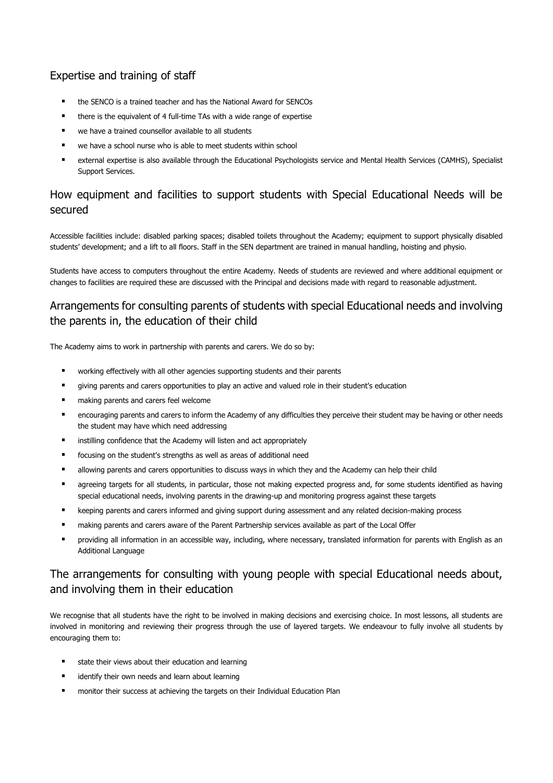## Expertise and training of staff

- the SENCO is a trained teacher and has the National Award for SENCOs
- there is the equivalent of 4 full-time TAs with a wide range of expertise
- we have a trained counsellor available to all students
- we have a school nurse who is able to meet students within school
- external expertise is also available through the Educational Psychologists service and Mental Health Services (CAMHS), Specialist Support Services.

## How equipment and facilities to support students with Special Educational Needs will be secured

Accessible facilities include: disabled parking spaces; disabled toilets throughout the Academy; equipment to support physically disabled students' development; and a lift to all floors. Staff in the SEN department are trained in manual handling, hoisting and physio.

Students have access to computers throughout the entire Academy. Needs of students are reviewed and where additional equipment or changes to facilities are required these are discussed with the Principal and decisions made with regard to reasonable adjustment.

## Arrangements for consulting parents of students with special Educational needs and involving the parents in, the education of their child

The Academy aims to work in partnership with parents and carers. We do so by:

- working effectively with all other agencies supporting students and their parents
- giving parents and carers opportunities to play an active and valued role in their student's education
- making parents and carers feel welcome
- encouraging parents and carers to inform the Academy of any difficulties they perceive their student may be having or other needs the student may have which need addressing
- instilling confidence that the Academy will listen and act appropriately
- focusing on the student's strengths as well as areas of additional need
- allowing parents and carers opportunities to discuss ways in which they and the Academy can help their child
- agreeing targets for all students, in particular, those not making expected progress and, for some students identified as having special educational needs, involving parents in the drawing-up and monitoring progress against these targets
- keeping parents and carers informed and giving support during assessment and any related decision-making process
- making parents and carers aware of the Parent Partnership services available as part of the Local Offer
- providing all information in an accessible way, including, where necessary, translated information for parents with English as an Additional Language

## The arrangements for consulting with young people with special Educational needs about, and involving them in their education

We recognise that all students have the right to be involved in making decisions and exercising choice. In most lessons, all students are involved in monitoring and reviewing their progress through the use of layered targets. We endeavour to fully involve all students by encouraging them to:

- state their views about their education and learning
- identify their own needs and learn about learning
- monitor their success at achieving the targets on their Individual Education Plan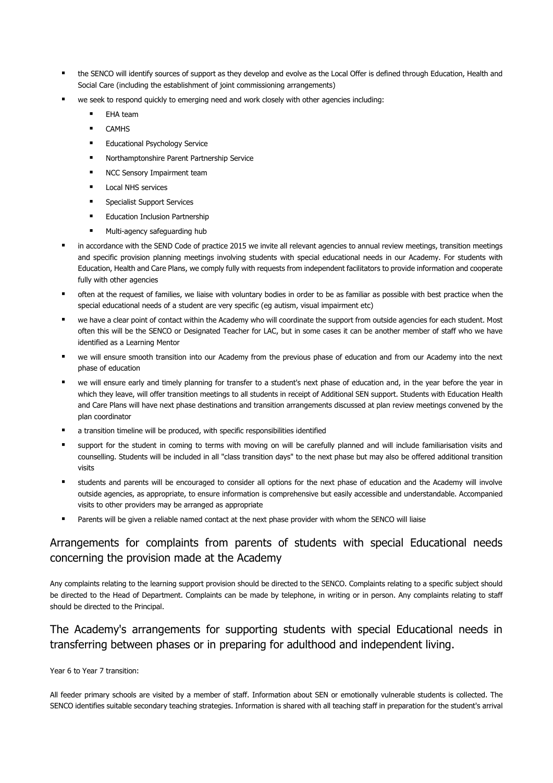- the SENCO will identify sources of support as they develop and evolve as the Local Offer is defined through Education, Health and Social Care (including the establishment of joint commissioning arrangements)
- we seek to respond quickly to emerging need and work closely with other agencies including:
	- EHA team
	- **CAMHS**
	- Educational Psychology Service
	- Northamptonshire Parent Partnership Service
	- NCC Sensory Impairment team
	- **Local NHS services**
	- Specialist Support Services
	- Education Inclusion Partnership
	- Multi-agency safeguarding hub
- in accordance with the SEND Code of practice 2015 we invite all relevant agencies to annual review meetings, transition meetings and specific provision planning meetings involving students with special educational needs in our Academy. For students with Education, Health and Care Plans, we comply fully with requests from independent facilitators to provide information and cooperate fully with other agencies
- often at the request of families, we liaise with voluntary bodies in order to be as familiar as possible with best practice when the special educational needs of a student are very specific (eg autism, visual impairment etc)
- we have a clear point of contact within the Academy who will coordinate the support from outside agencies for each student. Most often this will be the SENCO or Designated Teacher for LAC, but in some cases it can be another member of staff who we have identified as a Learning Mentor
- we will ensure smooth transition into our Academy from the previous phase of education and from our Academy into the next phase of education
- we will ensure early and timely planning for transfer to a student's next phase of education and, in the year before the year in which they leave, will offer transition meetings to all students in receipt of Additional SEN support. Students with Education Health and Care Plans will have next phase destinations and transition arrangements discussed at plan review meetings convened by the plan coordinator
- a transition timeline will be produced, with specific responsibilities identified
- support for the student in coming to terms with moving on will be carefully planned and will include familiarisation visits and counselling. Students will be included in all "class transition days" to the next phase but may also be offered additional transition visits
- students and parents will be encouraged to consider all options for the next phase of education and the Academy will involve outside agencies, as appropriate, to ensure information is comprehensive but easily accessible and understandable. Accompanied visits to other providers may be arranged as appropriate
- Parents will be given a reliable named contact at the next phase provider with whom the SENCO will liaise

#### Arrangements for complaints from parents of students with special Educational needs concerning the provision made at the Academy

Any complaints relating to the learning support provision should be directed to the SENCO. Complaints relating to a specific subject should be directed to the Head of Department. Complaints can be made by telephone, in writing or in person. Any complaints relating to staff should be directed to the Principal.

#### The Academy's arrangements for supporting students with special Educational needs in transferring between phases or in preparing for adulthood and independent living.

Year 6 to Year 7 transition:

All feeder primary schools are visited by a member of staff. Information about SEN or emotionally vulnerable students is collected. The SENCO identifies suitable secondary teaching strategies. Information is shared with all teaching staff in preparation for the student's arrival